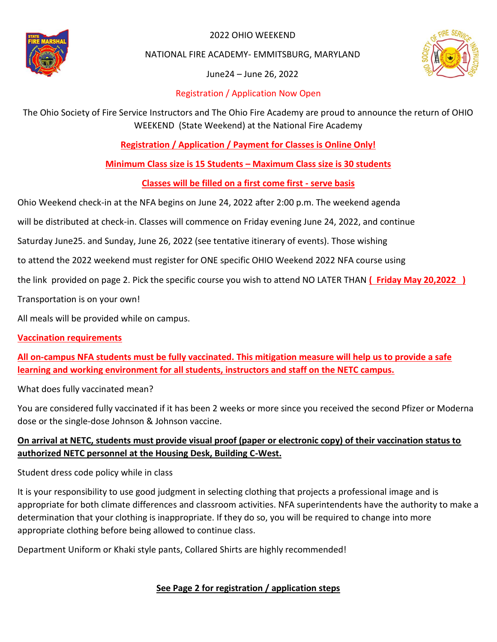

2022 OHIO WEEKEND

NATIONAL FIRE ACADEMY- EMMITSBURG, MARYLAND

June24 – June 26, 2022



## Registration / Application Now Open

The Ohio Society of Fire Service Instructors and The Ohio Fire Academy are proud to announce the return of OHIO WEEKEND (State Weekend) at the National Fire Academy

**Registration / Application / Payment for Classes is Online Only!**

**Minimum Class size is 15 Students – Maximum Class size is 30 students**

**Classes will be filled on a first come first - serve basis**

Ohio Weekend check-in at the NFA begins on June 24, 2022 after 2:00 p.m. The weekend agenda

will be distributed at check-in. Classes will commence on Friday evening June 24, 2022, and continue

Saturday June25. and Sunday, June 26, 2022 (see tentative itinerary of events). Those wishing

to attend the 2022 weekend must register for ONE specific OHIO Weekend 2022 NFA course using

the link provided on page 2. Pick the specific course you wish to attend NO LATER THAN **( Friday May 20,2022 )**

Transportation is on your own!

All meals will be provided while on campus.

### **Vaccination requirements**

**All on-campus NFA students must be fully vaccinated. This mitigation measure will help us to provide a safe learning and working environment for all students, instructors and staff on the NETC campus.**

What does fully vaccinated mean?

You are considered fully vaccinated if it has been 2 weeks or more since you received the second Pfizer or Moderna dose or the single-dose Johnson & Johnson vaccine.

# **On arrival at NETC, students must provide visual proof (paper or electronic copy) of their vaccination status to authorized NETC personnel at the Housing Desk, Building C-West.**

Student dress code policy while in class

It is your responsibility to use good judgment in selecting clothing that projects a professional image and is appropriate for both climate differences and classroom activities. NFA superintendents have the authority to make a determination that your clothing is inappropriate. If they do so, you will be required to change into more appropriate clothing before being allowed to continue class.

Department Uniform or Khaki style pants, Collared Shirts are highly recommended!

# **See Page 2 for registration / application steps**